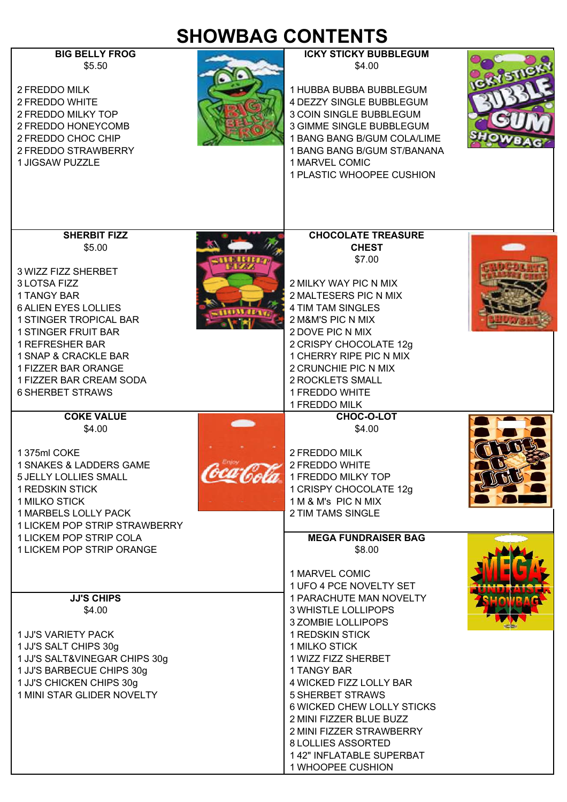## **SHOWBAG CONTENTS BIG BELLY FROG ICKY STICKY BUBBLEGUM**

 $$4.00$ 

2 FREDDO MILK 2 FREDDO MILK 2 FREDDO WHITE **2 AND A REPORT OF A REPORT OF A REPORT OF A REPORT OF A REPORT OF A REPORT OF A REPORT OF A REPORT OF A REPORT OF A REPORT OF A REPORT OF A REPORT OF A REPORT OF A REPORT OF A REPORT OF A REPORT OF A REPO** 2 FREDDO MILKY TOP **3 ANY 1999** 3 COIN SINGLE BUBBLEGUM 2 FREDDO HONEYCOMB 3 GIMME SINGLE BUBBLEGUM 2 FREDDO CHOC CHIP 1 BANG BANG BANG B/GUM COLA/LIME 2 FREDDO STRAWBERRY 1 BANG BANG B/GUM ST/BANANA



| 1 JIGSAW PUZZLE                                                                                                                                                                                                                                                          | 1 MARVEL COMIC<br>1 PLASTIC WHOOPEE CUSHION                                                                                                                                                                                                                                                                                                                                           |
|--------------------------------------------------------------------------------------------------------------------------------------------------------------------------------------------------------------------------------------------------------------------------|---------------------------------------------------------------------------------------------------------------------------------------------------------------------------------------------------------------------------------------------------------------------------------------------------------------------------------------------------------------------------------------|
|                                                                                                                                                                                                                                                                          |                                                                                                                                                                                                                                                                                                                                                                                       |
| <b>SHERBIT FIZZ</b><br>\$5.00                                                                                                                                                                                                                                            | <b>CHOCOLATE TREASURE</b><br><b>CHEST</b><br>\$7.00                                                                                                                                                                                                                                                                                                                                   |
| 3 WIZZ FIZZ SHERBET<br>3 LOTSA FIZZ<br>1 TANGY BAR<br><b>6 ALIEN EYES LOLLIES</b><br>1 STINGER TROPICAL BAR<br><b>1 STINGER FRUIT BAR</b><br><b>1 REFRESHER BAR</b><br>1 SNAP & CRACKLE BAR<br>1 FIZZER BAR ORANGE<br>1 FIZZER BAR CREAM SODA<br><b>6 SHERBET STRAWS</b> | 2 MILKY WAY PIC N MIX<br>2 MALTESERS PIC N MIX<br>4 TIM TAM SINGLES<br>2 M&M'S PIC N MIX<br>2 DOVE PIC N MIX<br>2 CRISPY CHOCOLATE 12g<br>1 CHERRY RIPE PIC N MIX<br>2 CRUNCHIE PIC N MIX<br>2 ROCKLETS SMALL<br>1 FREDDO WHITE                                                                                                                                                       |
| <b>COKE VALUE</b>                                                                                                                                                                                                                                                        | 1 FREDDO MILK<br><b>CHOC-O-LOT</b>                                                                                                                                                                                                                                                                                                                                                    |
| \$4.00<br>1375ml COKE<br>1 SNAKES & LADDERS GAME<br><b>5 JELLY LOLLIES SMALL</b><br><b>1 REDSKIN STICK</b><br><b>1 MILKO STICK</b><br>1 MARBELS LOLLY PACK<br>1 LICKEM POP STRIP STRAWBERRY<br>1 LICKEM POP STRIP COLA<br>1 LICKEM POP STRIP ORANGE                      | \$4.00<br>2 FREDDO MILK<br>2 FREDDO WHITE<br>1 FREDDO MILKY TOP<br>1 CRISPY CHOCOLATE 12g<br>1 M & M's PIC N MIX<br>2 TIM TAMS SINGLE<br><b>MEGA FUNDRAISER BAG</b><br>\$8.00                                                                                                                                                                                                         |
|                                                                                                                                                                                                                                                                          | 1 MARVEL COMIC<br>1 UFO 4 PCE NOVELTY SET                                                                                                                                                                                                                                                                                                                                             |
| <b>JJ'S CHIPS</b><br>\$4.00<br><b>1 JJ'S VARIETY PACK</b><br>1 JJ'S SALT CHIPS 30g<br>1 JJ'S SALT&VINEGAR CHIPS 30g<br>1 JJ'S BARBECUE CHIPS 30g<br>1 JJ'S CHICKEN CHIPS 30g<br>1 MINI STAR GLIDER NOVELTY                                                               | 1 PARACHUTE MAN NOVELTY<br><b>3 WHISTLE LOLLIPOPS</b><br>3 ZOMBIE LOLLIPOPS<br><b>1 REDSKIN STICK</b><br>1 MILKO STICK<br>1 WIZZ FIZZ SHERBET<br>1 TANGY BAR<br>4 WICKED FIZZ LOLLY BAR<br><b>5 SHERBET STRAWS</b><br>6 WICKED CHEW LOLLY STICKS<br>2 MINI FIZZER BLUE BUZZ<br>2 MINI FIZZER STRAWBERRY<br><b>8 LOLLIES ASSORTED</b><br>142" INFLATABLE SUPERBAT<br>1 WHOOPEE CUSHION |